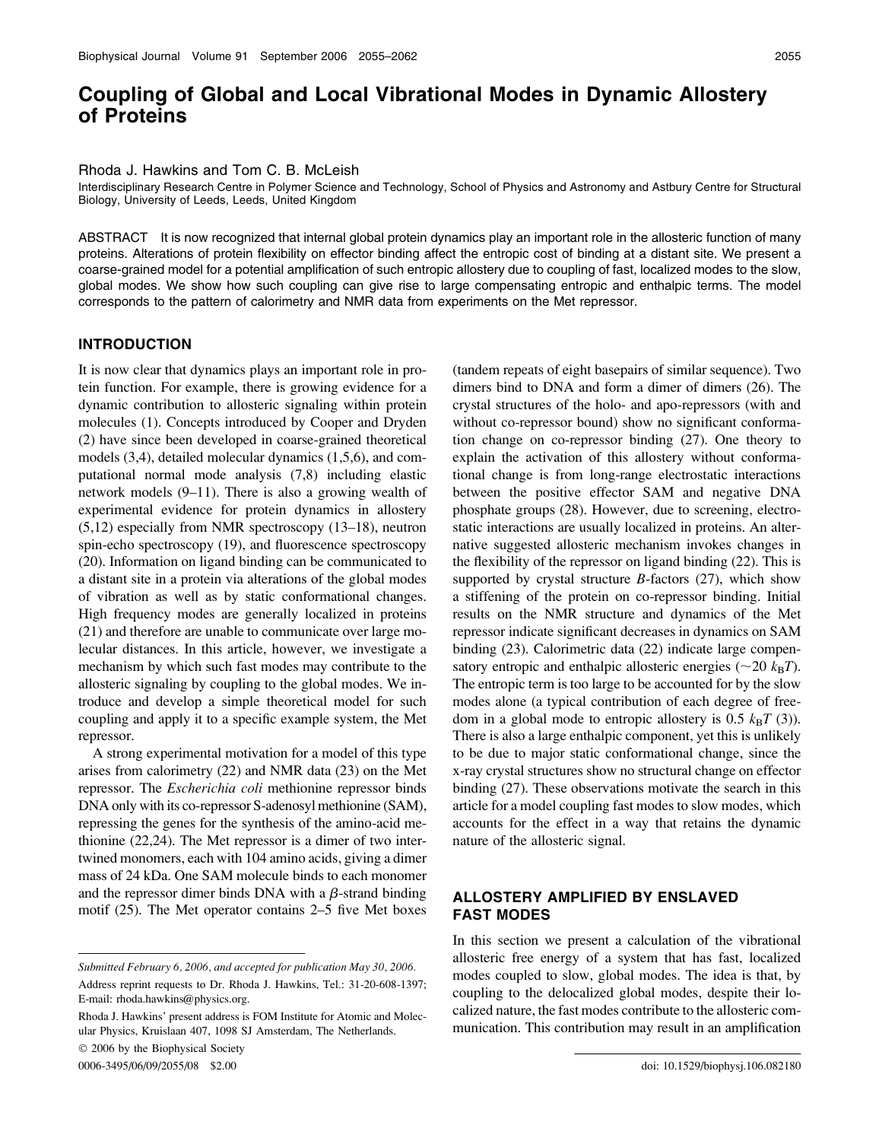# Coupling of Global and Local Vibrational Modes in Dynamic Allostery of Proteins

Rhoda J. Hawkins and Tom C. B. McLeish

Interdisciplinary Research Centre in Polymer Science and Technology, School of Physics and Astronomy and Astbury Centre for Structural Biology, University of Leeds, Leeds, United Kingdom

ABSTRACT It is now recognized that internal global protein dynamics play an important role in the allosteric function of many proteins. Alterations of protein flexibility on effector binding affect the entropic cost of binding at a distant site. We present a coarse-grained model for a potential amplification of such entropic allostery due to coupling of fast, localized modes to the slow, global modes. We show how such coupling can give rise to large compensating entropic and enthalpic terms. The model corresponds to the pattern of calorimetry and NMR data from experiments on the Met repressor.

## INTRODUCTION

It is now clear that dynamics plays an important role in protein function. For example, there is growing evidence for a dynamic contribution to allosteric signaling within protein molecules (1). Concepts introduced by Cooper and Dryden (2) have since been developed in coarse-grained theoretical models (3,4), detailed molecular dynamics (1,5,6), and computational normal mode analysis (7,8) including elastic network models (9–11). There is also a growing wealth of experimental evidence for protein dynamics in allostery (5,12) especially from NMR spectroscopy (13–18), neutron spin-echo spectroscopy (19), and fluorescence spectroscopy (20). Information on ligand binding can be communicated to a distant site in a protein via alterations of the global modes of vibration as well as by static conformational changes. High frequency modes are generally localized in proteins (21) and therefore are unable to communicate over large molecular distances. In this article, however, we investigate a mechanism by which such fast modes may contribute to the allosteric signaling by coupling to the global modes. We introduce and develop a simple theoretical model for such coupling and apply it to a specific example system, the Met repressor.

A strong experimental motivation for a model of this type arises from calorimetry (22) and NMR data (23) on the Met repressor. The Escherichia coli methionine repressor binds DNA only with its co-repressor S-adenosyl methionine (SAM), repressing the genes for the synthesis of the amino-acid methionine (22,24). The Met repressor is a dimer of two intertwined monomers, each with 104 amino acids, giving a dimer mass of 24 kDa. One SAM molecule binds to each monomer and the repressor dimer binds DNA with a  $\beta$ -strand binding motif (25). The Met operator contains 2–5 five Met boxes

Address reprint requests to Dr. Rhoda J. Hawkins, Tel.: 31-20-608-1397; E-mail: rhoda.hawkins@physics.org.

2006 by the Biophysical Society

(tandem repeats of eight basepairs of similar sequence). Two dimers bind to DNA and form a dimer of dimers (26). The crystal structures of the holo- and apo-repressors (with and without co-repressor bound) show no significant conformation change on co-repressor binding (27). One theory to explain the activation of this allostery without conformational change is from long-range electrostatic interactions between the positive effector SAM and negative DNA phosphate groups (28). However, due to screening, electrostatic interactions are usually localized in proteins. An alternative suggested allosteric mechanism invokes changes in the flexibility of the repressor on ligand binding (22). This is supported by crystal structure  $B$ -factors (27), which show a stiffening of the protein on co-repressor binding. Initial results on the NMR structure and dynamics of the Met repressor indicate significant decreases in dynamics on SAM binding (23). Calorimetric data (22) indicate large compensatory entropic and enthalpic allosteric energies ( $\sim$ 20  $k_BT$ ). The entropic term is too large to be accounted for by the slow modes alone (a typical contribution of each degree of freedom in a global mode to entropic allostery is 0.5  $k_BT$  (3)). There is also a large enthalpic component, yet this is unlikely to be due to major static conformational change, since the x-ray crystal structures show no structural change on effector binding (27). These observations motivate the search in this article for a model coupling fast modes to slow modes, which accounts for the effect in a way that retains the dynamic nature of the allosteric signal.

# ALLOSTERY AMPLIFIED BY ENSLAVED FAST MODES

In this section we present a calculation of the vibrational allosteric free energy of a system that has fast, localized modes coupled to slow, global modes. The idea is that, by coupling to the delocalized global modes, despite their localized nature, the fast modes contribute to the allosteric communication. This contribution may result in an amplification

Submitted February 6, 2006, and accepted for publication May 30, 2006.

Rhoda J. Hawkins' present address is FOM Institute for Atomic and Molecular Physics, Kruislaan 407, 1098 SJ Amsterdam, The Netherlands.

<sup>0006-3495/06/09/2055/08 \$2.00</sup> doi: 10.1529/biophysj.106.082180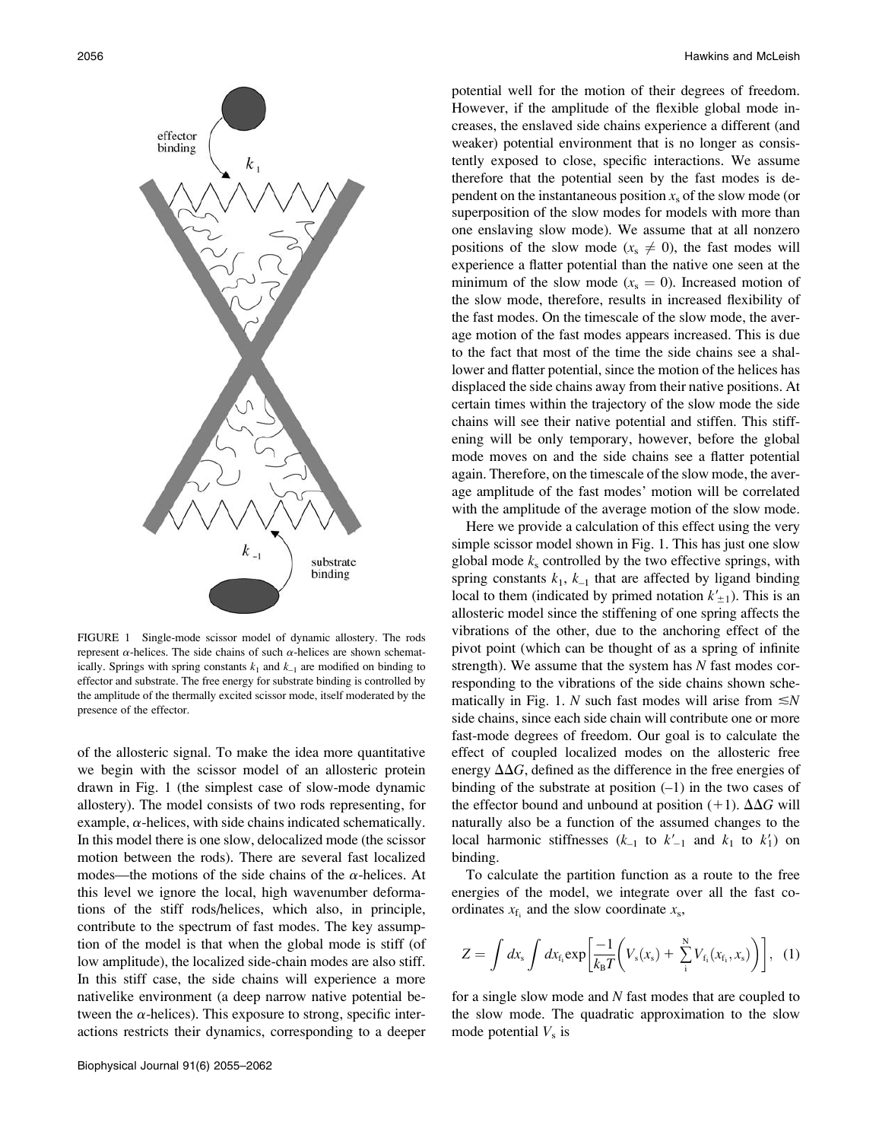

FIGURE 1 Single-mode scissor model of dynamic allostery. The rods represent  $\alpha$ -helices. The side chains of such  $\alpha$ -helices are shown schematically. Springs with spring constants  $k_1$  and  $k_{-1}$  are modified on binding to effector and substrate. The free energy for substrate binding is controlled by the amplitude of the thermally excited scissor mode, itself moderated by the presence of the effector.

of the allosteric signal. To make the idea more quantitative we begin with the scissor model of an allosteric protein drawn in Fig. 1 (the simplest case of slow-mode dynamic allostery). The model consists of two rods representing, for example,  $\alpha$ -helices, with side chains indicated schematically. In this model there is one slow, delocalized mode (the scissor motion between the rods). There are several fast localized modes—the motions of the side chains of the  $\alpha$ -helices. At this level we ignore the local, high wavenumber deformations of the stiff rods/helices, which also, in principle, contribute to the spectrum of fast modes. The key assumption of the model is that when the global mode is stiff (of low amplitude), the localized side-chain modes are also stiff. In this stiff case, the side chains will experience a more nativelike environment (a deep narrow native potential between the  $\alpha$ -helices). This exposure to strong, specific interactions restricts their dynamics, corresponding to a deeper

potential well for the motion of their degrees of freedom. However, if the amplitude of the flexible global mode increases, the enslaved side chains experience a different (and weaker) potential environment that is no longer as consistently exposed to close, specific interactions. We assume therefore that the potential seen by the fast modes is dependent on the instantaneous position  $x<sub>s</sub>$  of the slow mode (or superposition of the slow modes for models with more than one enslaving slow mode). We assume that at all nonzero positions of the slow mode ( $x_s \neq 0$ ), the fast modes will experience a flatter potential than the native one seen at the minimum of the slow mode ( $x_s = 0$ ). Increased motion of the slow mode, therefore, results in increased flexibility of the fast modes. On the timescale of the slow mode, the average motion of the fast modes appears increased. This is due to the fact that most of the time the side chains see a shallower and flatter potential, since the motion of the helices has displaced the side chains away from their native positions. At certain times within the trajectory of the slow mode the side chains will see their native potential and stiffen. This stiffening will be only temporary, however, before the global mode moves on and the side chains see a flatter potential again. Therefore, on the timescale of the slow mode, the average amplitude of the fast modes' motion will be correlated with the amplitude of the average motion of the slow mode.

Here we provide a calculation of this effect using the very simple scissor model shown in Fig. 1. This has just one slow global mode  $k<sub>s</sub>$  controlled by the two effective springs, with spring constants  $k_1$ ,  $k_{-1}$  that are affected by ligand binding local to them (indicated by primed notation  $k'_{\pm 1}$ ). This is an allosteric model since the stiffening of one spring affects the vibrations of the other, due to the anchoring effect of the pivot point (which can be thought of as a spring of infinite strength). We assume that the system has  $N$  fast modes corresponding to the vibrations of the side chains shown schematically in Fig. 1. N such fast modes will arise from  $\leq N$ side chains, since each side chain will contribute one or more fast-mode degrees of freedom. Our goal is to calculate the effect of coupled localized modes on the allosteric free energy  $\Delta\Delta G$ , defined as the difference in the free energies of binding of the substrate at position  $(-1)$  in the two cases of the effector bound and unbound at position (+1).  $\Delta\Delta G$  will naturally also be a function of the assumed changes to the local harmonic stiffnesses  $(k_{-1}$  to  $k'_{-1}$  and  $k_1$  to  $k'_1$ ) on binding.

To calculate the partition function as a route to the free energies of the model, we integrate over all the fast coordinates  $x_{f_i}$  and the slow coordinate  $x_s$ ,

$$
Z = \int dx_{s} \int dx_{f_{i}} \exp\left[\frac{-1}{k_{B}T}\left(V_{s}(x_{s}) + \sum_{i}^{N}V_{f_{i}}(x_{f_{i}}, x_{s})\right)\right], (1)
$$

for a single slow mode and  $N$  fast modes that are coupled to the slow mode. The quadratic approximation to the slow mode potential  $V<sub>s</sub>$  is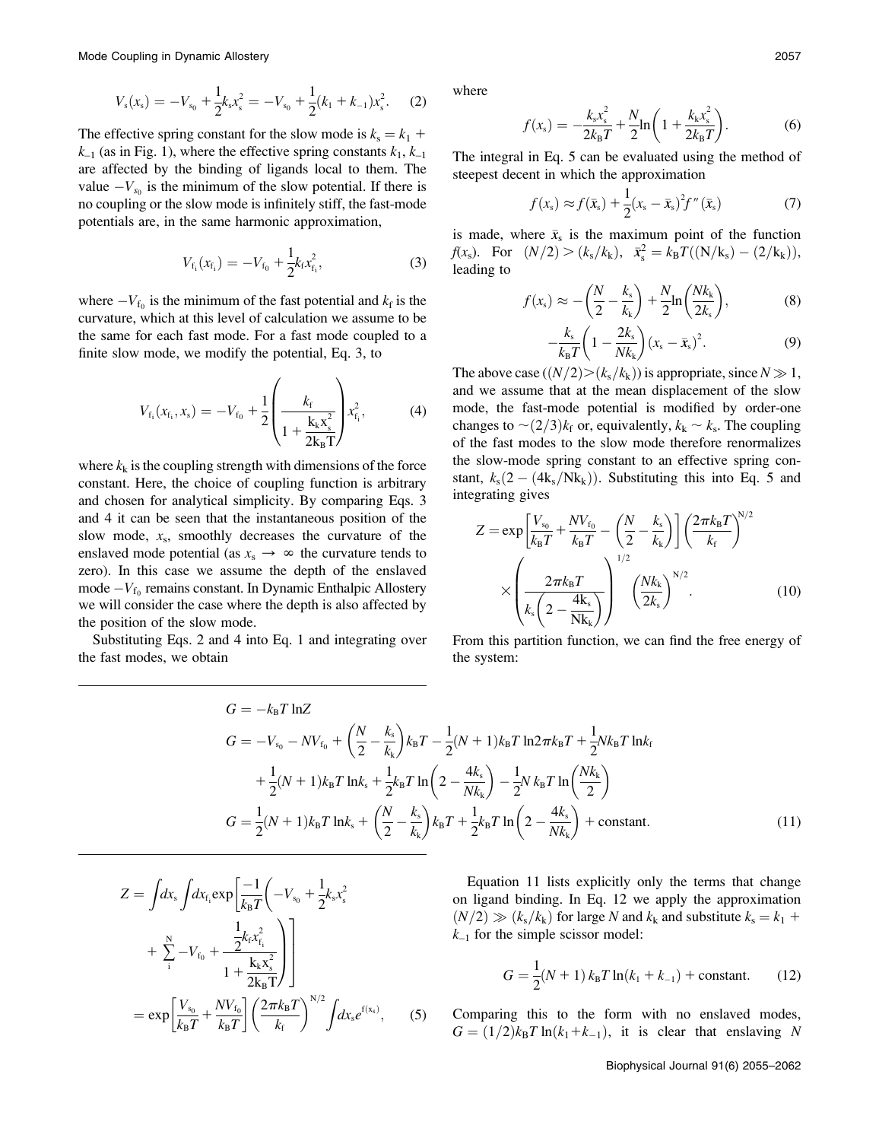Mode Coupling in Dynamic Allostery 2057

$$
V_{s}(x_{s}) = -V_{s_{0}} + \frac{1}{2}k_{s}x_{s}^{2} = -V_{s_{0}} + \frac{1}{2}(k_{1} + k_{-1})x_{s}^{2}.
$$
 (2)

The effective spring constant for the slow mode is  $k_s = k_1 + k_2$  $k_{-1}$  (as in Fig. 1), where the effective spring constants  $k_1, k_{-1}$ are affected by the binding of ligands local to them. The value  $-V_{s_0}$  is the minimum of the slow potential. If there is no coupling or the slow mode is infinitely stiff, the fast-mode potentials are, in the same harmonic approximation,

$$
V_{\rm f_i}(x_{\rm f_i}) = -V_{\rm f_0} + \frac{1}{2}k_{\rm f}x_{\rm f_i}^2,\tag{3}
$$

where  $-V_{f_0}$  is the minimum of the fast potential and  $k_f$  is the curvature, which at this level of calculation we assume to be the same for each fast mode. For a fast mode coupled to a finite slow mode, we modify the potential, Eq. 3, to

$$
V_{f_i}(x_{f_i}, x_s) = -V_{f_0} + \frac{1}{2} \left( \frac{k_f}{1 + \frac{k_k x_s^2}{2k_B T}} \right) x_{f_i}^2,
$$
 (4)

where  $k_k$  is the coupling strength with dimensions of the force constant. Here, the choice of coupling function is arbitrary and chosen for analytical simplicity. By comparing Eqs. 3 and 4 it can be seen that the instantaneous position of the slow mode,  $x_s$ , smoothly decreases the curvature of the enslaved mode potential (as  $x_s \rightarrow \infty$  the curvature tends to zero). In this case we assume the depth of the enslaved mode  $-V_{f_0}$  remains constant. In Dynamic Enthalpic Allostery we will consider the case where the depth is also affected by the position of the slow mode.

Substituting Eqs. 2 and 4 into Eq. 1 and integrating over the fast modes, we obtain

where

$$
f(x_{s}) = -\frac{k_{s}x_{s}^{2}}{2k_{B}T} + \frac{N}{2}\ln\left(1 + \frac{k_{k}x_{s}^{2}}{2k_{B}T}\right).
$$
 (6)

The integral in Eq. 5 can be evaluated using the method of steepest decent in which the approximation

$$
f(xs) \approx f(\bar{x}_{s}) + \frac{1}{2}(x_{s} - \bar{x}_{s})^{2} f''(\bar{x}_{s})
$$
 (7)

is made, where  $\bar{x}_s$  is the maximum point of the function  $f(x<sub>s</sub>)$ . For  $(N/2) > (k_s/k_k)$ ,  $\bar{x}_{s}^{2} = k_B T((N/k_s) - (2/k_k)),$ leading to

$$
f(x_s) \approx -\left(\frac{N}{2} - \frac{k_s}{k_k}\right) + \frac{N}{2}\ln\left(\frac{Nk_k}{2k_s}\right),\tag{8}
$$

$$
-\frac{k_{\rm s}}{k_{\rm B}T}\bigg(1-\frac{2k_{\rm s}}{Nk_{\rm k}}\bigg)(x_{\rm s}-\bar{x}_{\rm s})^2.
$$
 (9)

 $N^{2}/2$ 

The above case  $((N/2)>(k_s/k_k))$  is appropriate, since  $N \gg 1$ , and we assume that at the mean displacement of the slow mode, the fast-mode potential is modified by order-one changes to  $\sim$  (2/3) $k_f$  or, equivalently,  $k_k \sim k_s$ . The coupling of the fast modes to the slow mode therefore renormalizes the slow-mode spring constant to an effective spring constant,  $k_s(2-(4k_s/Nk_k))$ . Substituting this into Eq. 5 and integrating gives

$$
Z = \exp\left[\frac{V_{s_0}}{k_B T} + \frac{N V_{f_0}}{k_B T} - \left(\frac{N}{2} - \frac{k_s}{k_k}\right)\right] \left(\frac{2\pi k_B T}{k_f}\right)^{N/2} \times \left(\frac{2\pi k_B T}{k_s \left(2 - \frac{4k_s}{N k_k}\right)}\right)^{1/2} \left(\frac{N k_k}{2k_s}\right)^{N/2}.
$$
 (10)

From this partition function, we can find the free energy of the system:

$$
G = -k_{\rm B}T \ln Z
$$
  
\n
$$
G = -V_{s_0} - NV_{f_0} + \left(\frac{N}{2} - \frac{k_{\rm s}}{k_{\rm k}}\right)k_{\rm B}T - \frac{1}{2}(N+1)k_{\rm B}T \ln 2\pi k_{\rm B}T + \frac{1}{2}Nk_{\rm B}T \ln k_{\rm f}
$$
  
\n
$$
+ \frac{1}{2}(N+1)k_{\rm B}T \ln k_{\rm s} + \frac{1}{2}k_{\rm B}T \ln \left(2 - \frac{4k_{\rm s}}{Nk_{\rm k}}\right) - \frac{1}{2}N k_{\rm B}T \ln \left(\frac{Nk_{\rm k}}{2}\right)
$$
  
\n
$$
G = \frac{1}{2}(N+1)k_{\rm B}T \ln k_{\rm s} + \left(\frac{N}{2} - \frac{k_{\rm s}}{k_{\rm k}}\right)k_{\rm B}T + \frac{1}{2}k_{\rm B}T \ln \left(2 - \frac{4k_{\rm s}}{Nk_{\rm k}}\right) + \text{constant.}
$$
\n(11)

$$
Z = \int dx_{s} \int dx_{f_{i}} \exp\left[\frac{-1}{k_{B}T} \left(-V_{s_{0}} + \frac{1}{2}k_{s}x_{s}^{2}\right) + \sum_{i}^{N} -V_{f_{0}} + \frac{1}{2}k_{f}x_{f_{i}}^{2}\right] + \frac{1}{2k_{B}T}\left[\frac{1}{2k_{B}T}\right]
$$
  
= 
$$
\exp\left[\frac{V_{s_{0}}}{k_{B}T} + \frac{NV_{f_{0}}}{k_{B}T}\right] \left(\frac{2\pi k_{B}T}{k_{f}}\right)^{N/2} \int dx_{s} e^{f(x_{s})}, \quad (5)
$$

Equation 11 lists explicitly only the terms that change on ligand binding. In Eq. 12 we apply the approximation  $(N/2) \gg (k_s/k_k)$  for large N and  $k_k$  and substitute  $k_s = k_1 + k_2$  $k_{-1}$  for the simple scissor model:

$$
G = \frac{1}{2}(N+1) k_{\rm B} T \ln(k_1 + k_{-1}) + \text{constant.}
$$
 (12)

Comparing this to the form with no enslaved modes,  $G = (1/2)k_BT \ln(k_1+k_{-1}),$  it is clear that enslaving N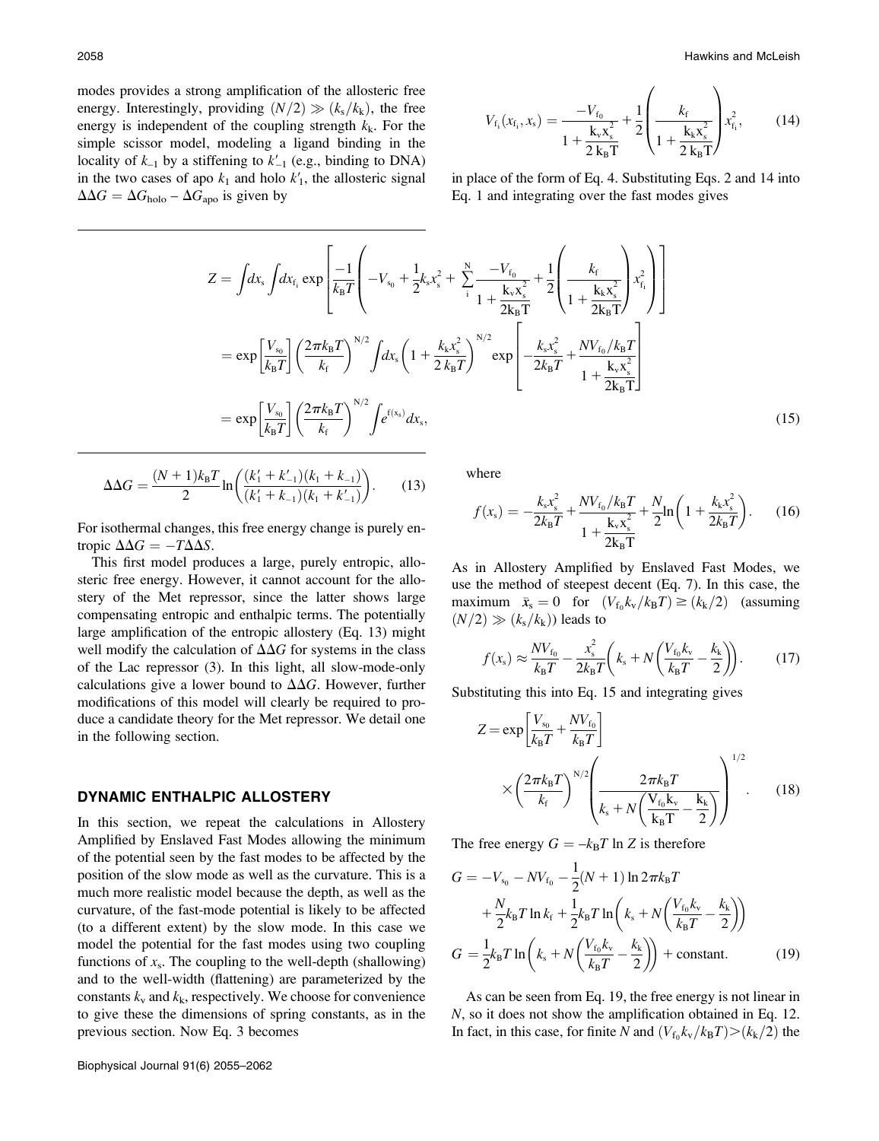modes provides a strong amplification of the allosteric free energy. Interestingly, providing  $(N/2) \gg (k_s/k_k)$ , the free energy is independent of the coupling strength  $k<sub>k</sub>$ . For the simple scissor model, modeling a ligand binding in the locality of  $k_{-1}$  by a stiffening to  $k'_{-1}$  (e.g., binding to DNA) in the two cases of apo  $k_1$  and holo  $k'_1$ , the allosteric signal  $\Delta\Delta G = \Delta G_{\text{holo}} - \Delta G_{\text{apo}}$  is given by

$$
V_{\rm f_i}(x_{\rm f_i}, x_{\rm s}) = \frac{-V_{\rm f_0}}{1 + \frac{k_{\rm v} x_{\rm s}^2}{2 k_{\rm B} T}} + \frac{1}{2} \left( \frac{k_{\rm f}}{1 + \frac{k_{\rm k} x_{\rm s}^2}{2 k_{\rm B} T}} \right) x_{\rm f_i}^2, \tag{14}
$$

in place of the form of Eq. 4. Substituting Eqs. 2 and 14 into Eq. 1 and integrating over the fast modes gives

$$
Z = \int dx_{\rm s} \int dx_{\rm f_{\rm i}} \exp\left[\frac{-1}{k_{\rm B}T}\left(-V_{\rm s_0} + \frac{1}{2}k_{\rm s}x_{\rm s}^2 + \sum_{\rm i}^{N} \frac{-V_{\rm f_{0}}}{1 + \frac{k_{\rm v}x_{\rm s}^2}{2k_{\rm B}T}} + \frac{1}{2}\left(\frac{k_{\rm f}}{1 + \frac{k_{\rm k}x_{\rm s}^2}{2k_{\rm B}T}}\right)x_{\rm f_{\rm i}}^2\right)\right]
$$
  
\n
$$
= \exp\left[\frac{V_{\rm s_0}}{k_{\rm B}T}\right] \left(\frac{2\pi k_{\rm B}T}{k_{\rm f}}\right)^{N/2} \int dx_{\rm s} \left(1 + \frac{k_{\rm k}x_{\rm s}^2}{2k_{\rm B}T}\right)^{N/2} \exp\left[-\frac{k_{\rm s}x_{\rm s}^2}{2k_{\rm B}T} + \frac{NV_{\rm f_{0}}/k_{\rm B}T}{1 + \frac{k_{\rm v}x_{\rm s}^2}{2k_{\rm B}T}}\right]
$$
  
\n
$$
= \exp\left[\frac{V_{\rm s_0}}{k_{\rm B}T}\right] \left(\frac{2\pi k_{\rm B}T}{k_{\rm f}}\right)^{N/2} \int e^{\rm f(x_{\rm s})} dx_{\rm s},
$$
 (15)

$$
\Delta\Delta G = \frac{(N+1)k_{\rm B}T}{2}\ln\left(\frac{(k_1' + k_{-1}')(k_1 + k_{-1})}{(k_1' + k_{-1})(k_1 + k_{-1}')}\right).
$$
 (13)

For isothermal changes, this free energy change is purely entropic  $\Delta\Delta G = -T\Delta\Delta S$ .

This first model produces a large, purely entropic, allosteric free energy. However, it cannot account for the allostery of the Met repressor, since the latter shows large compensating entropic and enthalpic terms. The potentially large amplification of the entropic allostery (Eq. 13) might well modify the calculation of  $\Delta\Delta G$  for systems in the class of the Lac repressor (3). In this light, all slow-mode-only calculations give a lower bound to  $\Delta\Delta G$ . However, further modifications of this model will clearly be required to produce a candidate theory for the Met repressor. We detail one in the following section.

#### DYNAMIC ENTHALPIC ALLOSTERY

In this section, we repeat the calculations in Allostery Amplified by Enslaved Fast Modes allowing the minimum of the potential seen by the fast modes to be affected by the position of the slow mode as well as the curvature. This is a much more realistic model because the depth, as well as the curvature, of the fast-mode potential is likely to be affected (to a different extent) by the slow mode. In this case we model the potential for the fast modes using two coupling functions of  $x_s$ . The coupling to the well-depth (shallowing) and to the well-width (flattening) are parameterized by the constants  $k_v$  and  $k_k$ , respectively. We choose for convenience to give these the dimensions of spring constants, as in the previous section. Now Eq. 3 becomes

where

$$
f(x_{s}) = -\frac{k_{s}x_{s}^{2}}{2k_{B}T} + \frac{NV_{f_{0}}/k_{B}T}{1 + \frac{k_{v}x_{s}^{2}}{2k_{B}T}} + \frac{N}{2}\ln\left(1 + \frac{k_{k}x_{s}^{2}}{2k_{B}T}\right).
$$
 (16)

As in Allostery Amplified by Enslaved Fast Modes, we use the method of steepest decent (Eq. 7). In this case, the maximum  $\bar{x}_s = 0$  for  $(V_{f_0}k_v/k_BT) \ge (k_k/2)$  (assuming  $(N/2) \gg (k_s/k_k)$ ) leads to

$$
f(x_{\rm s}) \approx \frac{NV_{\rm f_0}}{k_{\rm B}T} - \frac{x_{\rm s}^2}{2k_{\rm B}T} \left(k_{\rm s} + N\left(\frac{V_{\rm f_0}k_{\rm v}}{k_{\rm B}T} - \frac{k_{\rm k}}{2}\right)\right). \tag{17}
$$

Substituting this into Eq. 15 and integrating gives

$$
Z = \exp\left[\frac{V_{s_0}}{k_B T} + \frac{N V_{f_0}}{k_B T}\right]
$$

$$
\times \left(\frac{2\pi k_B T}{k_f}\right)^{N/2} \left(\frac{2\pi k_B T}{k_s + N\left(\frac{V_{f_0} k_v}{k_B T} - \frac{k_k}{2}\right)}\right)^{1/2}.
$$
 (18)

The free energy  $G = -k_B T \ln Z$  is therefore

$$
G = -V_{s_0} - NV_{t_0} - \frac{1}{2}(N+1)\ln 2\pi k_B T
$$

$$
+ \frac{N}{2}k_B T \ln k_f + \frac{1}{2}k_B T \ln\left(k_s + N\left(\frac{V_{t_0}k_v}{k_B T} - \frac{k_k}{2}\right)\right)
$$

$$
G = \frac{1}{2}k_B T \ln\left(k_s + N\left(\frac{V_{t_0}k_v}{k_B T} - \frac{k_k}{2}\right)\right) + \text{constant.}
$$
(19)

As can be seen from Eq. 19, the free energy is not linear in N, so it does not show the amplification obtained in Eq. 12. In fact, in this case, for finite N and  $(V_{f_0}k_{\rm v}/k_BT) > (k_k/2)$  the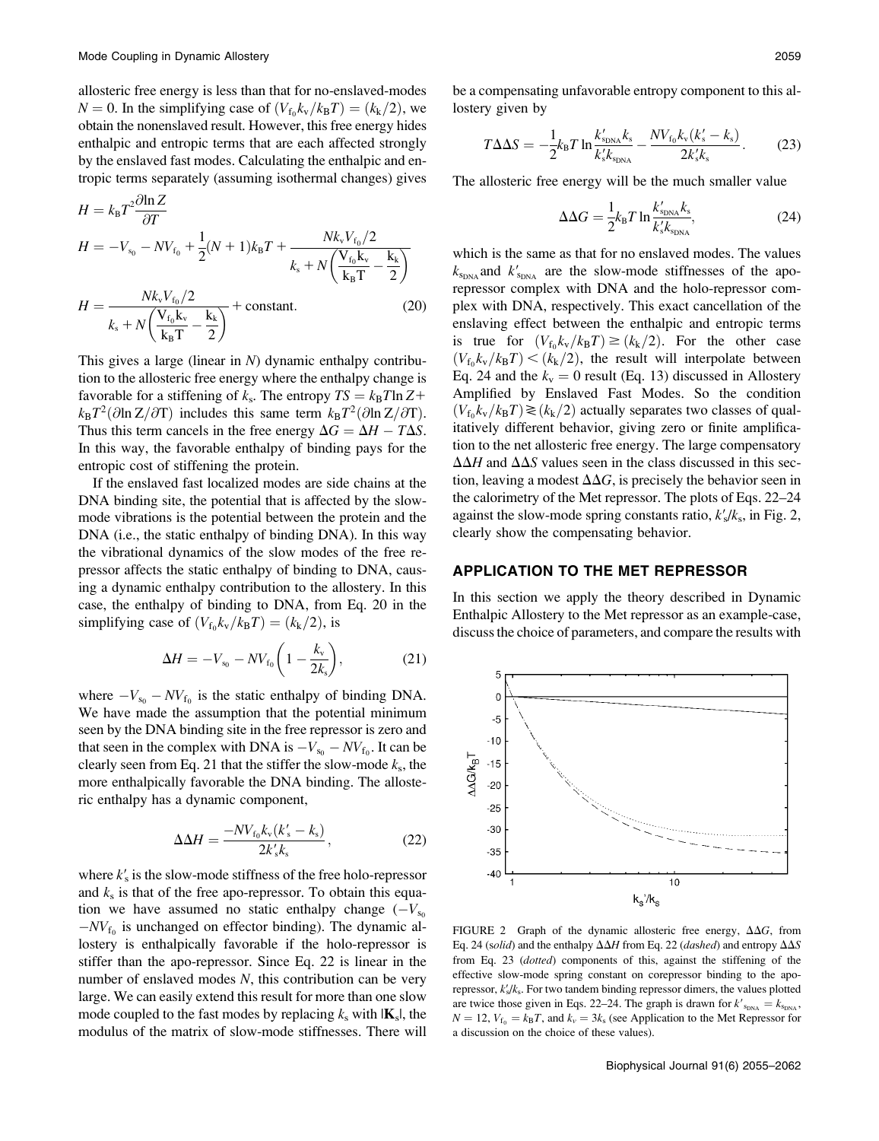allosteric free energy is less than that for no-enslaved-modes  $N = 0$ . In the simplifying case of  $(V_{f_0}k_{\rm v}/k_BT) = (k_k/2)$ , we obtain the nonenslaved result. However, this free energy hides enthalpic and entropic terms that are each affected strongly by the enslaved fast modes. Calculating the enthalpic and entropic terms separately (assuming isothermal changes) gives

$$
H = k_{\rm B} T^2 \frac{\partial \ln Z}{\partial T}
$$
  
\n
$$
H = -V_{s_0} - NV_{t_0} + \frac{1}{2} (N+1) k_{\rm B} T + \frac{N k_{\rm v} V_{t_0} / 2}{k_{\rm s} + N \left( \frac{V_{t_0} k_{\rm v}}{k_{\rm B} T} - \frac{k_{\rm k}}{2} \right)}
$$
  
\n
$$
H = \frac{N k_{\rm v} V_{t_0} / 2}{k_{\rm s} + N \left( \frac{V_{t_0} k_{\rm v}}{k_{\rm B} T} - \frac{k_{\rm k}}{2} \right)}
$$
 (20)

This gives a large (linear in  $N$ ) dynamic enthalpy contribution to the allosteric free energy where the enthalpy change is favorable for a stiffening of  $k_s$ . The entropy  $TS = k_B T \ln Z +$  $k_{\rm B}T^2(\partial \ln Z/\partial T)$  includes this same term  $k_{\rm B}T^2(\partial \ln Z/\partial T)$ . Thus this term cancels in the free energy  $\Delta G = \Delta H - T \Delta S$ . In this way, the favorable enthalpy of binding pays for the entropic cost of stiffening the protein.

If the enslaved fast localized modes are side chains at the DNA binding site, the potential that is affected by the slowmode vibrations is the potential between the protein and the DNA (i.e., the static enthalpy of binding DNA). In this way the vibrational dynamics of the slow modes of the free repressor affects the static enthalpy of binding to DNA, causing a dynamic enthalpy contribution to the allostery. In this case, the enthalpy of binding to DNA, from Eq. 20 in the simplifying case of  $(V_{f_0}k_{\rm v}/k_BT)=(k_k/2)$ , is

$$
\Delta H = -V_{s_0} - NV_{t_0} \left( 1 - \frac{k_v}{2k_s} \right),\tag{21}
$$

where  $-V_{\text{s}_0} - NV_{\text{f}_0}$  is the static enthalpy of binding DNA. We have made the assumption that the potential minimum seen by the DNA binding site in the free repressor is zero and that seen in the complex with DNA is  $-V_{\text{so}} - NV_{\text{fo}}$ . It can be clearly seen from Eq. 21 that the stiffer the slow-mode  $k_s$ , the more enthalpically favorable the DNA binding. The allosteric enthalpy has a dynamic component,

$$
\Delta \Delta H = \frac{-NV_{f_0}k_v(k_s' - k_s)}{2k_s'k_s},
$$
\n(22)

where  $k'_{s}$  is the slow-mode stiffness of the free holo-repressor and  $k<sub>s</sub>$  is that of the free apo-repressor. To obtain this equation we have assumed no static enthalpy change  $(-V_{s_0})$  $-NV_{f_0}$  is unchanged on effector binding). The dynamic allostery is enthalpically favorable if the holo-repressor is stiffer than the apo-repressor. Since Eq. 22 is linear in the number of enslaved modes  $N$ , this contribution can be very large. We can easily extend this result for more than one slow mode coupled to the fast modes by replacing  $k_s$  with  $|\mathbf{K}_s|$ , the modulus of the matrix of slow-mode stiffnesses. There will

be a compensating unfavorable entropy component to this allostery given by

$$
T\Delta\Delta S = -\frac{1}{2}k_{\rm B}T\ln\frac{k'_{\rm SDNA}}{k'_{\rm s}k_{\rm SDNA}} - \frac{NV_{\rm f_0}k_{\rm v}(k'_{\rm s}-k_{\rm s})}{2k'_{\rm s}k_{\rm s}}.\tag{23}
$$

The allosteric free energy will be the much smaller value

$$
\Delta \Delta G = \frac{1}{2} k_{\rm B} T \ln \frac{k'_{\rm SDNA}}{k'_{\rm s} k_{\rm SDNA}},\tag{24}
$$

which is the same as that for no enslaved modes. The values  $k_{\rm SDNA}$  and  $k_{\rm SDNA}'$  are the slow-mode stiffnesses of the aporepressor complex with DNA and the holo-repressor complex with DNA, respectively. This exact cancellation of the enslaving effect between the enthalpic and entropic terms is true for  $(V_{f_0}k_{\rm v}/k_BT) \ge (k_k/2)$ . For the other case  $(V_{f_0}k_{\rm v}/k_BT) < (k_{\rm k}/2)$ , the result will interpolate between Eq. 24 and the  $k_v = 0$  result (Eq. 13) discussed in Allostery Amplified by Enslaved Fast Modes. So the condition  $(V_{f_0}k_{\rm v}/k_BT)\geq (k_{\rm k}/2)$  actually separates two classes of qualitatively different behavior, giving zero or finite amplification to the net allosteric free energy. The large compensatory  $\Delta\Delta H$  and  $\Delta\Delta S$  values seen in the class discussed in this section, leaving a modest  $\Delta\Delta G$ , is precisely the behavior seen in the calorimetry of the Met repressor. The plots of Eqs. 22–24 against the slow-mode spring constants ratio,  $k_s'/k_s$ , in Fig. 2, clearly show the compensating behavior.

# APPLICATION TO THE MET REPRESSOR

In this section we apply the theory described in Dynamic Enthalpic Allostery to the Met repressor as an example-case, discuss the choice of parameters, and compare the results with



FIGURE 2 Graph of the dynamic allosteric free energy,  $\Delta\Delta G$ , from Eq. 24 (solid) and the enthalpy  $\Delta\Delta H$  from Eq. 22 (dashed) and entropy  $\Delta\Delta S$ from Eq. 23 (dotted) components of this, against the stiffening of the effective slow-mode spring constant on corepressor binding to the aporepressor,  $k'_s/k_s$ . For two tandem binding repressor dimers, the values plotted are twice those given in Eqs. 22–24. The graph is drawn for  $k'_{\text{SDMA}} = k_{\text{SDMA}}$ ,  $N = 12$ ,  $V_{f0} = k_B T$ , and  $k_v = 3k_s$  (see Application to the Met Repressor for a discussion on the choice of these values).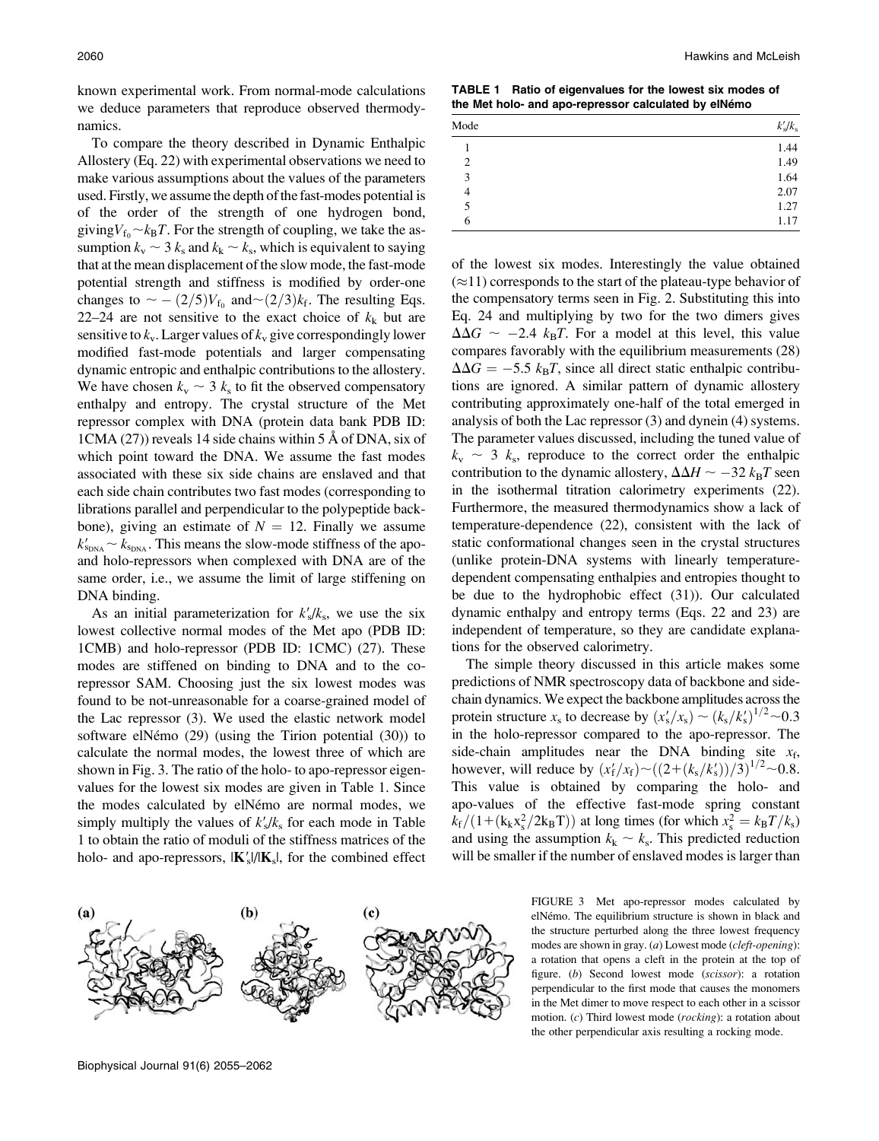known experimental work. From normal-mode calculations we deduce parameters that reproduce observed thermodynamics.

To compare the theory described in Dynamic Enthalpic Allostery (Eq. 22) with experimental observations we need to make various assumptions about the values of the parameters used. Firstly, we assume the depth of the fast-modes potential is of the order of the strength of one hydrogen bond, giving  $V_{\text{f}_0} \sim k_B T$ . For the strength of coupling, we take the assumption  $k_v \sim 3$  k<sub>s</sub> and  $k_k \sim k_s$ , which is equivalent to saying that at the mean displacement of the slow mode, the fast-mode potential strength and stiffness is modified by order-one changes to  $\sim -\frac{2}{5}V_{f_0}$  and  $\sim \frac{2}{3}k_f$ . The resulting Eqs. 22–24 are not sensitive to the exact choice of  $k_k$  but are sensitive to  $k_v$ . Larger values of  $k_v$  give correspondingly lower modified fast-mode potentials and larger compensating dynamic entropic and enthalpic contributions to the allostery. We have chosen  $k_v \sim 3$  k<sub>s</sub> to fit the observed compensatory enthalpy and entropy. The crystal structure of the Met repressor complex with DNA (protein data bank PDB ID:  $1CMA (27)$  reveals 14 side chains within 5 Å of DNA, six of which point toward the DNA. We assume the fast modes associated with these six side chains are enslaved and that each side chain contributes two fast modes (corresponding to librations parallel and perpendicular to the polypeptide backbone), giving an estimate of  $N = 12$ . Finally we assume  $k'_{\rm SDNA} \sim k_{\rm SDNA}$ . This means the slow-mode stiffness of the apoand holo-repressors when complexed with DNA are of the same order, i.e., we assume the limit of large stiffening on DNA binding.

As an initial parameterization for  $k'_{s}/k_{s}$ , we use the six lowest collective normal modes of the Met apo (PDB ID: 1CMB) and holo-repressor (PDB ID: 1CMC) (27). These modes are stiffened on binding to DNA and to the corepressor SAM. Choosing just the six lowest modes was found to be not-unreasonable for a coarse-grained model of the Lac repressor (3). We used the elastic network model software elNémo  $(29)$  (using the Tirion potential  $(30)$ ) to calculate the normal modes, the lowest three of which are shown in Fig. 3. The ratio of the holo- to apo-repressor eigenvalues for the lowest six modes are given in Table 1. Since the modes calculated by elNémo are normal modes, we simply multiply the values of  $k'_s / k_s$  for each mode in Table 1 to obtain the ratio of moduli of the stiffness matrices of the holo- and apo-repressors,  $|\mathbf{K}'_{s}|/|\mathbf{K}_{s}|$ , for the combined effect

2060 Hawkins and McLeish

TABLE 1 Ratio of eigenvalues for the lowest six modes of the Met holo- and apo-repressor calculated by elNémo

| Mode           | $k'_{\rm s}/k_{\rm s}$ |
|----------------|------------------------|
|                | 1.44                   |
| $\overline{c}$ | 1.49                   |
| 3              | 1.64                   |
| $\overline{4}$ | 2.07                   |
| 5              | 1.27                   |
| 6              | 1.17                   |

of the lowest six modes. Interestingly the value obtained  $(\approx 11)$  corresponds to the start of the plateau-type behavior of the compensatory terms seen in Fig. 2. Substituting this into Eq. 24 and multiplying by two for the two dimers gives  $\Delta\Delta G \sim -2.4$  k<sub>B</sub>T. For a model at this level, this value compares favorably with the equilibrium measurements (28)  $\Delta\Delta G = -5.5$  k<sub>B</sub>T, since all direct static enthalpic contributions are ignored. A similar pattern of dynamic allostery contributing approximately one-half of the total emerged in analysis of both the Lac repressor (3) and dynein (4) systems. The parameter values discussed, including the tuned value of  $k_v \sim 3$  k<sub>s</sub>, reproduce to the correct order the enthalpic contribution to the dynamic allostery,  $\Delta\Delta H \sim -32 k_{\rm B}T$  seen in the isothermal titration calorimetry experiments (22). Furthermore, the measured thermodynamics show a lack of temperature-dependence (22), consistent with the lack of static conformational changes seen in the crystal structures (unlike protein-DNA systems with linearly temperaturedependent compensating enthalpies and entropies thought to be due to the hydrophobic effect (31)). Our calculated dynamic enthalpy and entropy terms (Eqs. 22 and 23) are independent of temperature, so they are candidate explanations for the observed calorimetry.

The simple theory discussed in this article makes some predictions of NMR spectroscopy data of backbone and sidechain dynamics. We expect the backbone amplitudes across the protein structure  $x_s$  to decrease by  $(x_s'/x_s) \sim (k_s/k_s')^{1/2} \sim 0.3$ in the holo-repressor compared to the apo-repressor. The side-chain amplitudes near the DNA binding site  $x_f$ , however, will reduce by  $(x'_f/x_f) \sim ((2+(k_s/k_s'))/3)^{1/2} \sim 0.8$ . This value is obtained by comparing the holo- and apo-values of the effective fast-mode spring constant  $k_f/(1 + (k_k x_s^2/2k_B T))$  at long times (for which  $x_s^2 = k_B T/k_s$ ) and using the assumption  $k_k \sim k_s$ . This predicted reduction will be smaller if the number of enslaved modes is larger than

> FIGURE 3 Met apo-repressor modes calculated by elNémo. The equilibrium structure is shown in black and the structure perturbed along the three lowest frequency modes are shown in gray. (a) Lowest mode (cleft-opening): a rotation that opens a cleft in the protein at the top of figure. (b) Second lowest mode (scissor): a rotation perpendicular to the first mode that causes the monomers in the Met dimer to move respect to each other in a scissor motion. (c) Third lowest mode (rocking): a rotation about the other perpendicular axis resulting a rocking mode.

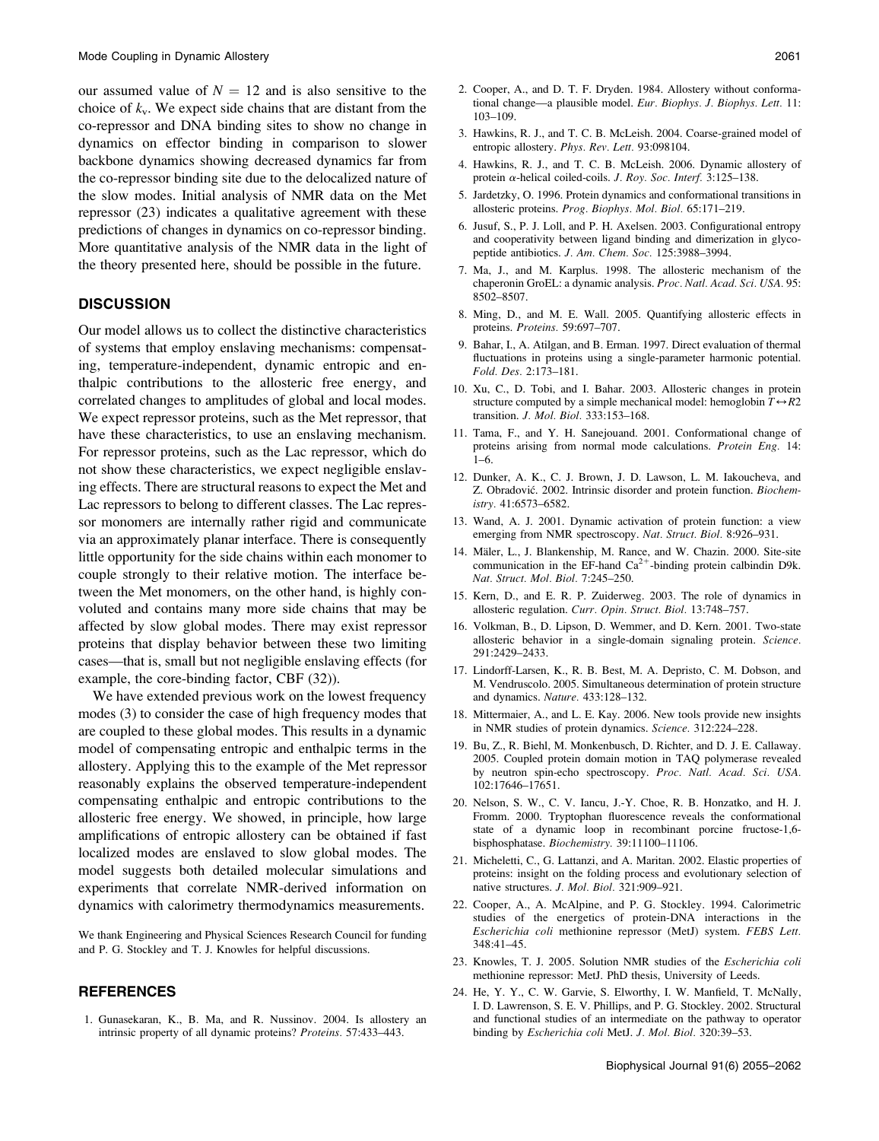our assumed value of  $N = 12$  and is also sensitive to the choice of  $k_v$ . We expect side chains that are distant from the co-repressor and DNA binding sites to show no change in dynamics on effector binding in comparison to slower backbone dynamics showing decreased dynamics far from the co-repressor binding site due to the delocalized nature of the slow modes. Initial analysis of NMR data on the Met repressor (23) indicates a qualitative agreement with these predictions of changes in dynamics on co-repressor binding. More quantitative analysis of the NMR data in the light of the theory presented here, should be possible in the future.

## **DISCUSSION**

Our model allows us to collect the distinctive characteristics of systems that employ enslaving mechanisms: compensating, temperature-independent, dynamic entropic and enthalpic contributions to the allosteric free energy, and correlated changes to amplitudes of global and local modes. We expect repressor proteins, such as the Met repressor, that have these characteristics, to use an enslaving mechanism. For repressor proteins, such as the Lac repressor, which do not show these characteristics, we expect negligible enslaving effects. There are structural reasons to expect the Met and Lac repressors to belong to different classes. The Lac repressor monomers are internally rather rigid and communicate via an approximately planar interface. There is consequently little opportunity for the side chains within each monomer to couple strongly to their relative motion. The interface between the Met monomers, on the other hand, is highly convoluted and contains many more side chains that may be affected by slow global modes. There may exist repressor proteins that display behavior between these two limiting cases—that is, small but not negligible enslaving effects (for example, the core-binding factor, CBF (32)).

We have extended previous work on the lowest frequency modes (3) to consider the case of high frequency modes that are coupled to these global modes. This results in a dynamic model of compensating entropic and enthalpic terms in the allostery. Applying this to the example of the Met repressor reasonably explains the observed temperature-independent compensating enthalpic and entropic contributions to the allosteric free energy. We showed, in principle, how large amplifications of entropic allostery can be obtained if fast localized modes are enslaved to slow global modes. The model suggests both detailed molecular simulations and experiments that correlate NMR-derived information on dynamics with calorimetry thermodynamics measurements.

We thank Engineering and Physical Sciences Research Council for funding and P. G. Stockley and T. J. Knowles for helpful discussions.

### **REFERENCES**

1. Gunasekaran, K., B. Ma, and R. Nussinov. 2004. Is allostery an intrinsic property of all dynamic proteins? Proteins. 57:433–443.

3. Hawkins, R. J., and T. C. B. McLeish. 2004. Coarse-grained model of entropic allostery. Phys. Rev. Lett. 93:098104.

103–109.

- 4. Hawkins, R. J., and T. C. B. McLeish. 2006. Dynamic allostery of protein  $\alpha$ -helical coiled-coils. J. Roy. Soc. Interf. 3:125-138.
- 5. Jardetzky, O. 1996. Protein dynamics and conformational transitions in allosteric proteins. Prog. Biophys. Mol. Biol. 65:171–219.
- 6. Jusuf, S., P. J. Loll, and P. H. Axelsen. 2003. Configurational entropy and cooperativity between ligand binding and dimerization in glycopeptide antibiotics. J. Am. Chem. Soc. 125:3988–3994.
- 7. Ma, J., and M. Karplus. 1998. The allosteric mechanism of the chaperonin GroEL: a dynamic analysis. Proc. Natl. Acad. Sci. USA. 95: 8502–8507.
- 8. Ming, D., and M. E. Wall. 2005. Quantifying allosteric effects in proteins. Proteins. 59:697–707.
- 9. Bahar, I., A. Atilgan, and B. Erman. 1997. Direct evaluation of thermal fluctuations in proteins using a single-parameter harmonic potential. Fold. Des. 2:173–181.
- 10. Xu, C., D. Tobi, and I. Bahar. 2003. Allosteric changes in protein structure computed by a simple mechanical model: hemoglobin  $T \leftrightarrow R2$ transition. J. Mol. Biol. 333:153–168.
- 11. Tama, F., and Y. H. Sanejouand. 2001. Conformational change of proteins arising from normal mode calculations. Protein Eng. 14: 1–6.
- 12. Dunker, A. K., C. J. Brown, J. D. Lawson, L. M. Iakoucheva, and Z. Obradović. 2002. Intrinsic disorder and protein function. Biochemistry. 41:6573–6582.
- 13. Wand, A. J. 2001. Dynamic activation of protein function: a view emerging from NMR spectroscopy. Nat. Struct. Biol. 8:926-931.
- 14. Mäler, L., J. Blankenship, M. Rance, and W. Chazin. 2000. Site-site communication in the EF-hand  $Ca^{2+}$ -binding protein calbindin D9k. Nat. Struct. Mol. Biol. 7:245–250.
- 15. Kern, D., and E. R. P. Zuiderweg. 2003. The role of dynamics in allosteric regulation. Curr. Opin. Struct. Biol. 13:748–757.
- 16. Volkman, B., D. Lipson, D. Wemmer, and D. Kern. 2001. Two-state allosteric behavior in a single-domain signaling protein. Science. 291:2429–2433.
- 17. Lindorff-Larsen, K., R. B. Best, M. A. Depristo, C. M. Dobson, and M. Vendruscolo. 2005. Simultaneous determination of protein structure and dynamics. Nature. 433:128–132.
- 18. Mittermaier, A., and L. E. Kay. 2006. New tools provide new insights in NMR studies of protein dynamics. Science. 312:224–228.
- 19. Bu, Z., R. Biehl, M. Monkenbusch, D. Richter, and D. J. E. Callaway. 2005. Coupled protein domain motion in TAQ polymerase revealed by neutron spin-echo spectroscopy. Proc. Natl. Acad. Sci. USA. 102:17646–17651.
- 20. Nelson, S. W., C. V. Iancu, J.-Y. Choe, R. B. Honzatko, and H. J. Fromm. 2000. Tryptophan fluorescence reveals the conformational state of a dynamic loop in recombinant porcine fructose-1,6 bisphosphatase. Biochemistry. 39:11100–11106.
- 21. Micheletti, C., G. Lattanzi, and A. Maritan. 2002. Elastic properties of proteins: insight on the folding process and evolutionary selection of native structures. J. Mol. Biol. 321:909–921.
- 22. Cooper, A., A. McAlpine, and P. G. Stockley. 1994. Calorimetric studies of the energetics of protein-DNA interactions in the Escherichia coli methionine repressor (MetJ) system. FEBS Lett. 348:41–45.
- 23. Knowles, T. J. 2005. Solution NMR studies of the Escherichia coli methionine repressor: MetJ. PhD thesis, University of Leeds.
- 24. He, Y. Y., C. W. Garvie, S. Elworthy, I. W. Manfield, T. McNally, I. D. Lawrenson, S. E. V. Phillips, and P. G. Stockley. 2002. Structural and functional studies of an intermediate on the pathway to operator binding by Escherichia coli MetJ. J. Mol. Biol. 320:39–53.